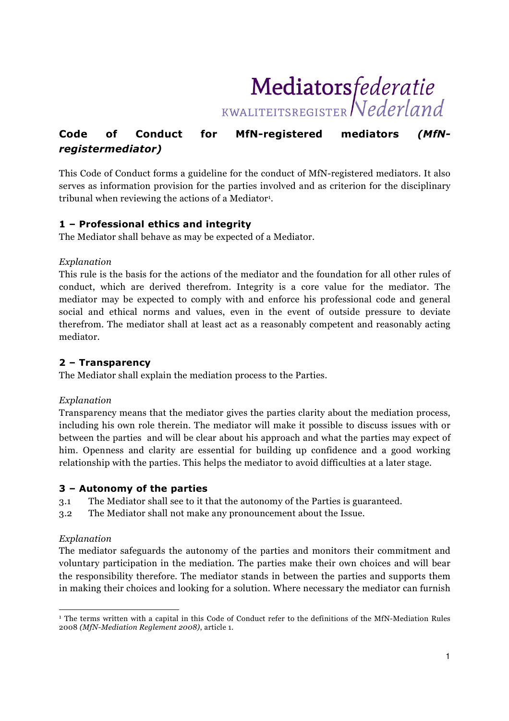# Mediatorsfederatie KWALITEITSREGISTER Nederland

# **Code of Conduct for MfN-registered mediators** *(MfNregistermediator)*

This Code of Conduct forms a guideline for the conduct of MfN-registered mediators. It also serves as information provision for the parties involved and as criterion for the disciplinary tribunal when reviewing the actions of a Mediator<sup>1</sup>.

# **1 – Professional ethics and integrity**

The Mediator shall behave as may be expected of a Mediator.

*Explanation* 

This rule is the basis for the actions of the mediator and the foundation for all other rules of conduct, which are derived therefrom. Integrity is a core value for the mediator. The mediator may be expected to comply with and enforce his professional code and general social and ethical norms and values, even in the event of outside pressure to deviate therefrom. The mediator shall at least act as a reasonably competent and reasonably acting mediator.

# **2 – Transparency**

The Mediator shall explain the mediation process to the Parties.

# *Explanation*

Transparency means that the mediator gives the parties clarity about the mediation process, including his own role therein. The mediator will make it possible to discuss issues with or between the parties and will be clear about his approach and what the parties may expect of him. Openness and clarity are essential for building up confidence and a good working relationship with the parties. This helps the mediator to avoid difficulties at a later stage.

# **3 – Autonomy of the parties**

- 3.1 The Mediator shall see to it that the autonomy of the Parties is guaranteed.
- 3.2 The Mediator shall not make any pronouncement about the Issue.

# *Explanation*

 $\overline{a}$ 

The mediator safeguards the autonomy of the parties and monitors their commitment and voluntary participation in the mediation. The parties make their own choices and will bear the responsibility therefore. The mediator stands in between the parties and supports them in making their choices and looking for a solution. Where necessary the mediator can furnish

<sup>1</sup> The terms written with a capital in this Code of Conduct refer to the definitions of the MfN-Mediation Rules 2008 *(MfN-Mediation Reglement 2008)*, article 1.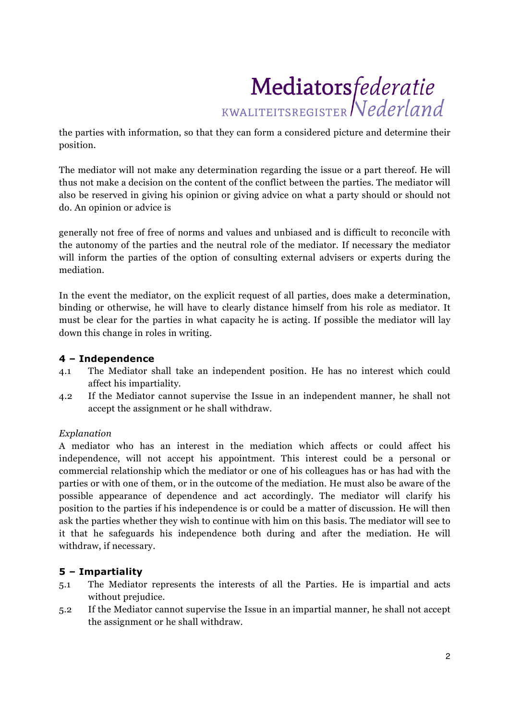# Mediators federatie

the parties with information, so that they can form a considered picture and determine their position.

The mediator will not make any determination regarding the issue or a part thereof. He will thus not make a decision on the content of the conflict between the parties. The mediator will also be reserved in giving his opinion or giving advice on what a party should or should not do. An opinion or advice is

generally not free of free of norms and values and unbiased and is difficult to reconcile with the autonomy of the parties and the neutral role of the mediator. If necessary the mediator will inform the parties of the option of consulting external advisers or experts during the mediation.

In the event the mediator, on the explicit request of all parties, does make a determination, binding or otherwise, he will have to clearly distance himself from his role as mediator. It must be clear for the parties in what capacity he is acting. If possible the mediator will lay down this change in roles in writing.

# **4 – Independence**

- 4.1 The Mediator shall take an independent position. He has no interest which could affect his impartiality.
- 4.2 If the Mediator cannot supervise the Issue in an independent manner, he shall not accept the assignment or he shall withdraw.

# *Explanation*

A mediator who has an interest in the mediation which affects or could affect his independence, will not accept his appointment. This interest could be a personal or commercial relationship which the mediator or one of his colleagues has or has had with the parties or with one of them, or in the outcome of the mediation. He must also be aware of the possible appearance of dependence and act accordingly. The mediator will clarify his position to the parties if his independence is or could be a matter of discussion. He will then ask the parties whether they wish to continue with him on this basis. The mediator will see to it that he safeguards his independence both during and after the mediation. He will withdraw, if necessary.

# **5 – Impartiality**

- 5.1 The Mediator represents the interests of all the Parties. He is impartial and acts without prejudice.
- 5.2 If the Mediator cannot supervise the Issue in an impartial manner, he shall not accept the assignment or he shall withdraw.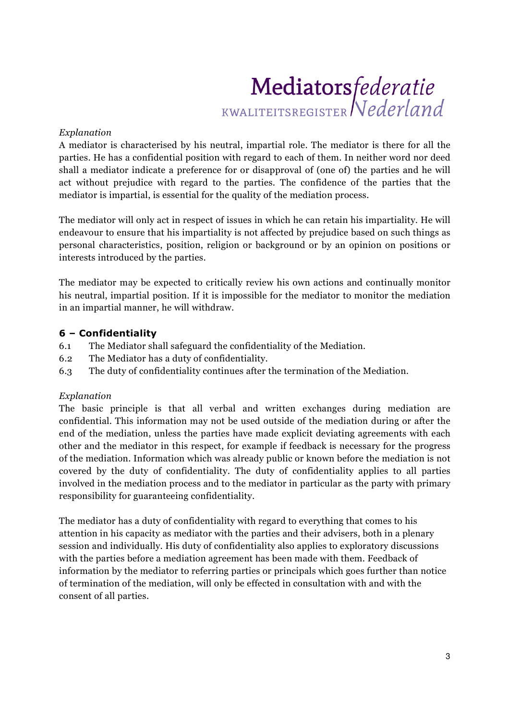# Mediatorsfederatie KWALITEITSREGISTER Nederland

#### *Explanation*

A mediator is characterised by his neutral, impartial role. The mediator is there for all the parties. He has a confidential position with regard to each of them. In neither word nor deed shall a mediator indicate a preference for or disapproval of (one of) the parties and he will act without prejudice with regard to the parties. The confidence of the parties that the mediator is impartial, is essential for the quality of the mediation process.

The mediator will only act in respect of issues in which he can retain his impartiality. He will endeavour to ensure that his impartiality is not affected by prejudice based on such things as personal characteristics, position, religion or background or by an opinion on positions or interests introduced by the parties.

The mediator may be expected to critically review his own actions and continually monitor his neutral, impartial position. If it is impossible for the mediator to monitor the mediation in an impartial manner, he will withdraw.

#### **6 – Confidentiality**

- 6.1 The Mediator shall safeguard the confidentiality of the Mediation.
- 6.2 The Mediator has a duty of confidentiality.
- 6.3 The duty of confidentiality continues after the termination of the Mediation.

#### *Explanation*

The basic principle is that all verbal and written exchanges during mediation are confidential. This information may not be used outside of the mediation during or after the end of the mediation, unless the parties have made explicit deviating agreements with each other and the mediator in this respect, for example if feedback is necessary for the progress of the mediation. Information which was already public or known before the mediation is not covered by the duty of confidentiality. The duty of confidentiality applies to all parties involved in the mediation process and to the mediator in particular as the party with primary responsibility for guaranteeing confidentiality.

The mediator has a duty of confidentiality with regard to everything that comes to his attention in his capacity as mediator with the parties and their advisers, both in a plenary session and individually. His duty of confidentiality also applies to exploratory discussions with the parties before a mediation agreement has been made with them. Feedback of information by the mediator to referring parties or principals which goes further than notice of termination of the mediation, will only be effected in consultation with and with the consent of all parties.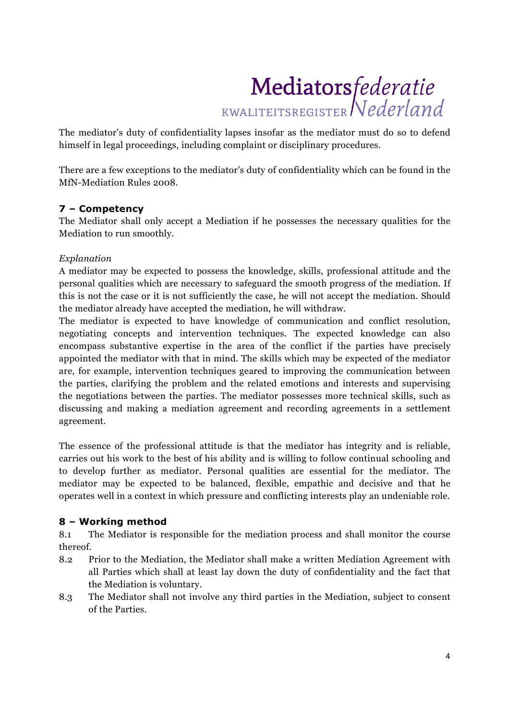# Mediators federatie

The mediator's duty of confidentiality lapses insofar as the mediator must do so to defend himself in legal proceedings, including complaint or disciplinary procedures.

There are a few exceptions to the mediator's duty of confidentiality which can be found in the MfN-Mediation Rules 2008.

# **7 – Competency**

The Mediator shall only accept a Mediation if he possesses the necessary qualities for the Mediation to run smoothly.

#### *Explanation*

A mediator may be expected to possess the knowledge, skills, professional attitude and the personal qualities which are necessary to safeguard the smooth progress of the mediation. If this is not the case or it is not sufficiently the case, he will not accept the mediation. Should the mediator already have accepted the mediation, he will withdraw.

The mediator is expected to have knowledge of communication and conflict resolution, negotiating concepts and intervention techniques. The expected knowledge can also encompass substantive expertise in the area of the conflict if the parties have precisely appointed the mediator with that in mind. The skills which may be expected of the mediator are, for example, intervention techniques geared to improving the communication between the parties, clarifying the problem and the related emotions and interests and supervising the negotiations between the parties. The mediator possesses more technical skills, such as discussing and making a mediation agreement and recording agreements in a settlement agreement.

The essence of the professional attitude is that the mediator has integrity and is reliable, carries out his work to the best of his ability and is willing to follow continual schooling and to develop further as mediator. Personal qualities are essential for the mediator. The mediator may be expected to be balanced, flexible, empathic and decisive and that he operates well in a context in which pressure and conflicting interests play an undeniable role.

# **8 – Working method**

8.1 The Mediator is responsible for the mediation process and shall monitor the course thereof.

- 8.2 Prior to the Mediation, the Mediator shall make a written Mediation Agreement with all Parties which shall at least lay down the duty of confidentiality and the fact that the Mediation is voluntary.
- 8.3 The Mediator shall not involve any third parties in the Mediation, subject to consent of the Parties.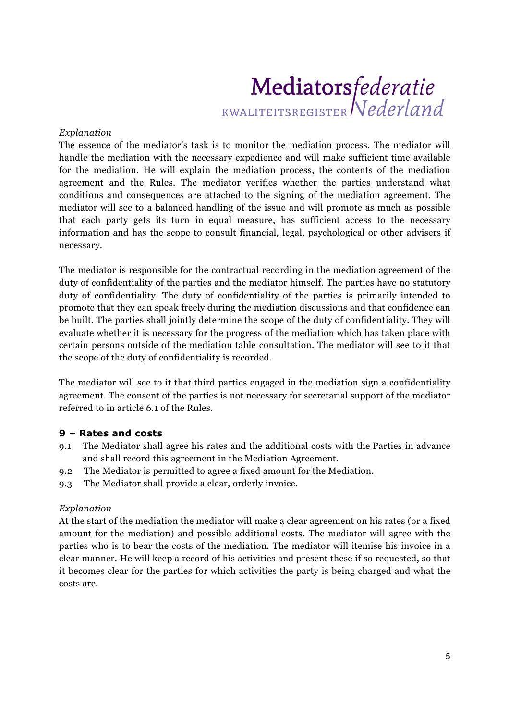# Mediatorsfederatie KWALITEITSREGISTER Nederland

#### *Explanation*

The essence of the mediator's task is to monitor the mediation process. The mediator will handle the mediation with the necessary expedience and will make sufficient time available for the mediation. He will explain the mediation process, the contents of the mediation agreement and the Rules. The mediator verifies whether the parties understand what conditions and consequences are attached to the signing of the mediation agreement. The mediator will see to a balanced handling of the issue and will promote as much as possible that each party gets its turn in equal measure, has sufficient access to the necessary information and has the scope to consult financial, legal, psychological or other advisers if necessary.

The mediator is responsible for the contractual recording in the mediation agreement of the duty of confidentiality of the parties and the mediator himself. The parties have no statutory duty of confidentiality. The duty of confidentiality of the parties is primarily intended to promote that they can speak freely during the mediation discussions and that confidence can be built. The parties shall jointly determine the scope of the duty of confidentiality. They will evaluate whether it is necessary for the progress of the mediation which has taken place with certain persons outside of the mediation table consultation. The mediator will see to it that the scope of the duty of confidentiality is recorded.

The mediator will see to it that third parties engaged in the mediation sign a confidentiality agreement. The consent of the parties is not necessary for secretarial support of the mediator referred to in article 6.1 of the Rules.

# **9 – Rates and costs**

- 9.1 The Mediator shall agree his rates and the additional costs with the Parties in advance and shall record this agreement in the Mediation Agreement.
- 9.2 The Mediator is permitted to agree a fixed amount for the Mediation.
- 9.3 The Mediator shall provide a clear, orderly invoice.

#### *Explanation*

At the start of the mediation the mediator will make a clear agreement on his rates (or a fixed amount for the mediation) and possible additional costs. The mediator will agree with the parties who is to bear the costs of the mediation. The mediator will itemise his invoice in a clear manner. He will keep a record of his activities and present these if so requested, so that it becomes clear for the parties for which activities the party is being charged and what the costs are.